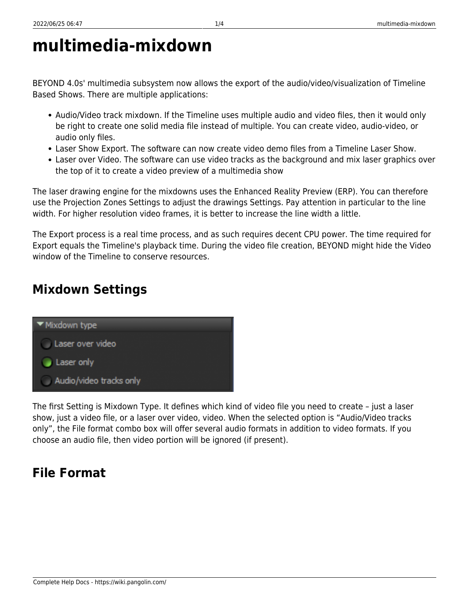# **multimedia-mixdown**

BEYOND 4.0s' multimedia subsystem now allows the export of the audio/video/visualization of Timeline Based Shows. There are multiple applications:

- Audio/Video track mixdown. If the Timeline uses multiple audio and video files, then it would only be right to create one solid media file instead of multiple. You can create video, audio-video, or audio only files.
- Laser Show Export. The software can now create video demo files from a Timeline Laser Show.
- Laser over Video. The software can use video tracks as the background and mix laser graphics over the top of it to create a video preview of a multimedia show

The laser drawing engine for the mixdowns uses the Enhanced Reality Preview (ERP). You can therefore use the Projection Zones Settings to adjust the drawings Settings. Pay attention in particular to the line width. For higher resolution video frames, it is better to increase the line width a little.

The Export process is a real time process, and as such requires decent CPU power. The time required for Export equals the Timeline's playback time. During the video file creation, BEYOND might hide the Video window of the Timeline to conserve resources.

## **Mixdown Settings**

'Mixdown type

 $\Box$  Laser only

Laser over video

Audio/video tracks only



#### **File Format**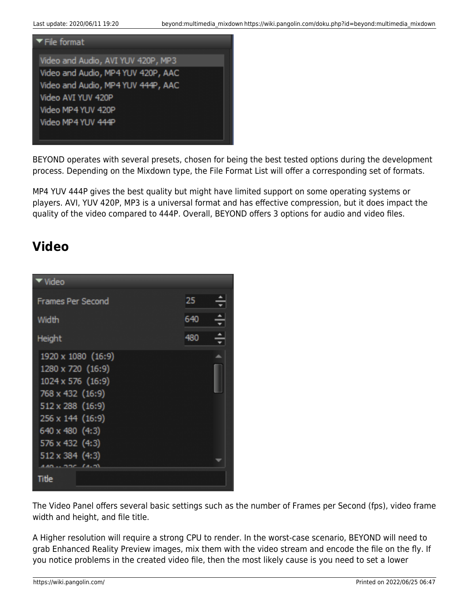

BEYOND operates with several presets, chosen for being the best tested options during the development process. Depending on the Mixdown type, the File Format List will offer a corresponding set of formats.

MP4 YUV 444P gives the best quality but might have limited support on some operating systems or players. AVI, YUV 420P, MP3 is a universal format and has effective compression, but it does impact the quality of the video compared to 444P. Overall, BEYOND offers 3 options for audio and video files.

#### **Video**



The Video Panel offers several basic settings such as the number of Frames per Second (fps), video frame width and height, and file title.

A Higher resolution will require a strong CPU to render. In the worst-case scenario, BEYOND will need to grab Enhanced Reality Preview images, mix them with the video stream and encode the file on the fly. If you notice problems in the created video file, then the most likely cause is you need to set a lower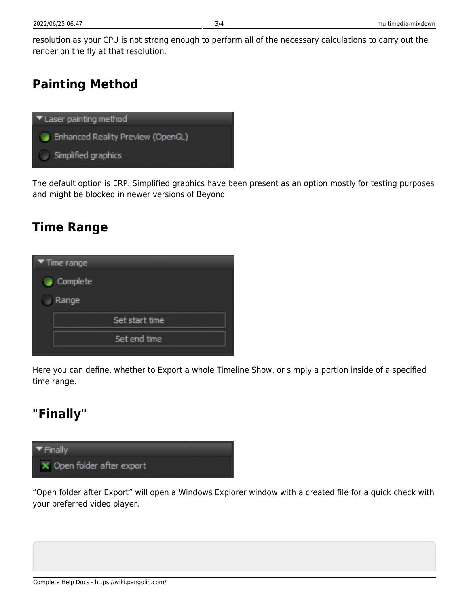resolution as your CPU is not strong enough to perform all of the necessary calculations to carry out the render on the fly at that resolution.

### **Painting Method**



The default option is ERP. Simplified graphics have been present as an option mostly for testing purposes and might be blocked in newer versions of Beyond

#### **Time Range**



Here you can define, whether to Export a whole Timeline Show, or simply a portion inside of a specified time range.

#### **"Finally"**



"Open folder after Export" will open a Windows Explorer window with a created file for a quick check with your preferred video player.